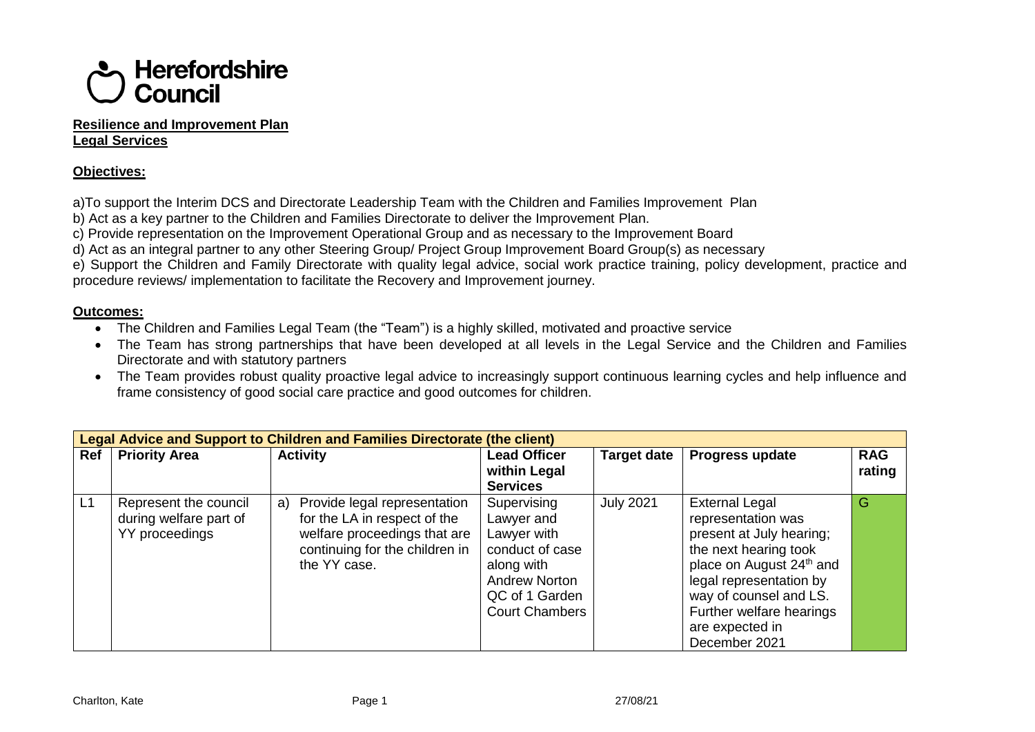

## **Resilience and Improvement Plan Legal Services**

## **Objectives:**

a)To support the Interim DCS and Directorate Leadership Team with the Children and Families Improvement Plan

b) Act as a key partner to the Children and Families Directorate to deliver the Improvement Plan.

c) Provide representation on the Improvement Operational Group and as necessary to the Improvement Board

d) Act as an integral partner to any other Steering Group/ Project Group Improvement Board Group(s) as necessary

e) Support the Children and Family Directorate with quality legal advice, social work practice training, policy development, practice and procedure reviews/ implementation to facilitate the Recovery and Improvement journey.

## **Outcomes:**

- The Children and Families Legal Team (the "Team") is a highly skilled, motivated and proactive service
- The Team has strong partnerships that have been developed at all levels in the Legal Service and the Children and Families Directorate and with statutory partners
- The Team provides robust quality proactive legal advice to increasingly support continuous learning cycles and help influence and frame consistency of good social care practice and good outcomes for children.

|    |                                                                   | <b>Legal Advice and Support to Children and Families Directorate (the client)</b>                                                                 |                                                                           |                    |                                                                                                                                          |            |
|----|-------------------------------------------------------------------|---------------------------------------------------------------------------------------------------------------------------------------------------|---------------------------------------------------------------------------|--------------------|------------------------------------------------------------------------------------------------------------------------------------------|------------|
|    | Ref   Priority Area                                               | <b>Activity</b>                                                                                                                                   | <b>Lead Officer</b>                                                       | <b>Target date</b> | <b>Progress update</b>                                                                                                                   | <b>RAG</b> |
|    |                                                                   |                                                                                                                                                   | within Legal                                                              |                    |                                                                                                                                          | rating     |
|    |                                                                   |                                                                                                                                                   | <b>Services</b>                                                           |                    |                                                                                                                                          |            |
| L1 | Represent the council<br>during welfare part of<br>YY proceedings | a) Provide legal representation<br>for the LA in respect of the<br>welfare proceedings that are<br>continuing for the children in<br>the YY case. | Supervising<br>Lawyer and<br>Lawyer with<br>conduct of case<br>along with | <b>July 2021</b>   | <b>External Legal</b><br>representation was<br>present at July hearing;<br>the next hearing took<br>place on August 24 <sup>th</sup> and | G          |
|    |                                                                   |                                                                                                                                                   | <b>Andrew Norton</b><br>QC of 1 Garden<br><b>Court Chambers</b>           |                    | legal representation by<br>way of counsel and LS.<br>Further welfare hearings<br>are expected in<br>December 2021                        |            |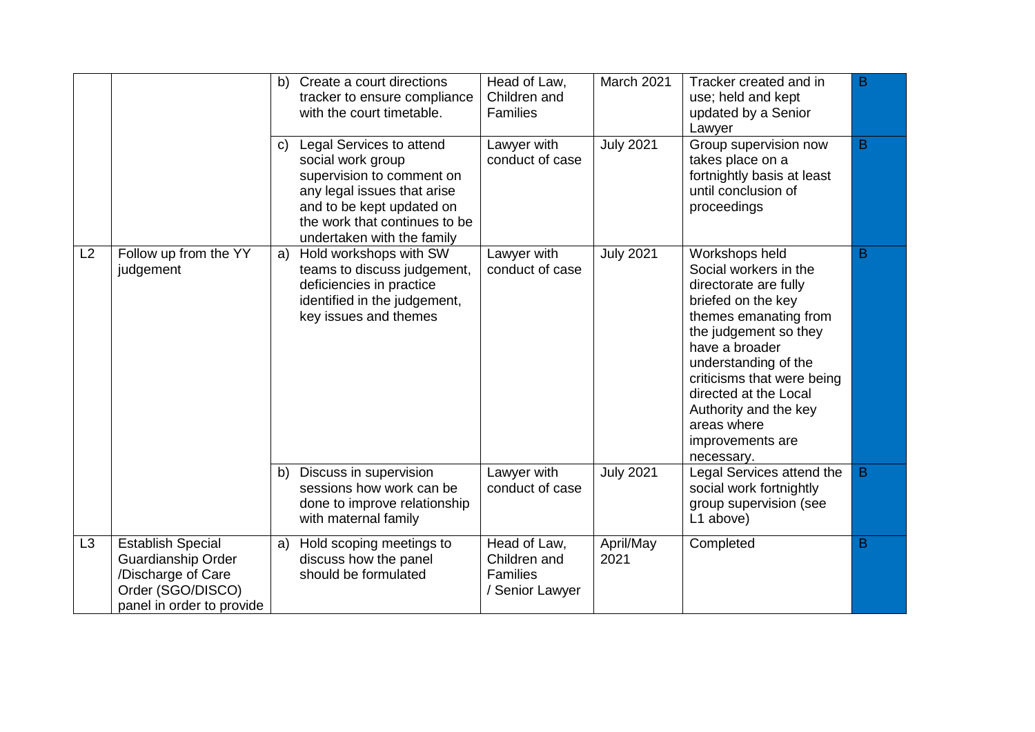|    |                                                                                                                        | b) | Create a court directions<br>tracker to ensure compliance<br>with the court timetable.                                                                                                                | Head of Law,<br>Children and<br><b>Families</b>                    | March 2021        | Tracker created and in<br>use; held and kept<br>updated by a Senior<br>Lawyer                                                                                                                                                                                                                                       | B |
|----|------------------------------------------------------------------------------------------------------------------------|----|-------------------------------------------------------------------------------------------------------------------------------------------------------------------------------------------------------|--------------------------------------------------------------------|-------------------|---------------------------------------------------------------------------------------------------------------------------------------------------------------------------------------------------------------------------------------------------------------------------------------------------------------------|---|
|    |                                                                                                                        | C) | Legal Services to attend<br>social work group<br>supervision to comment on<br>any legal issues that arise<br>and to be kept updated on<br>the work that continues to be<br>undertaken with the family | Lawyer with<br>conduct of case                                     | <b>July 2021</b>  | Group supervision now<br>takes place on a<br>fortnightly basis at least<br>until conclusion of<br>proceedings                                                                                                                                                                                                       | B |
| L2 | Follow up from the YY<br>judgement                                                                                     | a) | Hold workshops with SW<br>teams to discuss judgement,<br>deficiencies in practice<br>identified in the judgement,<br>key issues and themes                                                            | Lawyer with<br>conduct of case                                     | <b>July 2021</b>  | Workshops held<br>Social workers in the<br>directorate are fully<br>briefed on the key<br>themes emanating from<br>the judgement so they<br>have a broader<br>understanding of the<br>criticisms that were being<br>directed at the Local<br>Authority and the key<br>areas where<br>improvements are<br>necessary. | B |
|    |                                                                                                                        | b) | Discuss in supervision<br>sessions how work can be<br>done to improve relationship<br>with maternal family                                                                                            | Lawyer with<br>conduct of case                                     | <b>July 2021</b>  | Legal Services attend the<br>social work fortnightly<br>group supervision (see<br>L1 above)                                                                                                                                                                                                                         | B |
| L3 | <b>Establish Special</b><br>Guardianship Order<br>/Discharge of Care<br>Order (SGO/DISCO)<br>panel in order to provide | a) | Hold scoping meetings to<br>discuss how the panel<br>should be formulated                                                                                                                             | Head of Law,<br>Children and<br><b>Families</b><br>/ Senior Lawyer | April/May<br>2021 | Completed                                                                                                                                                                                                                                                                                                           | B |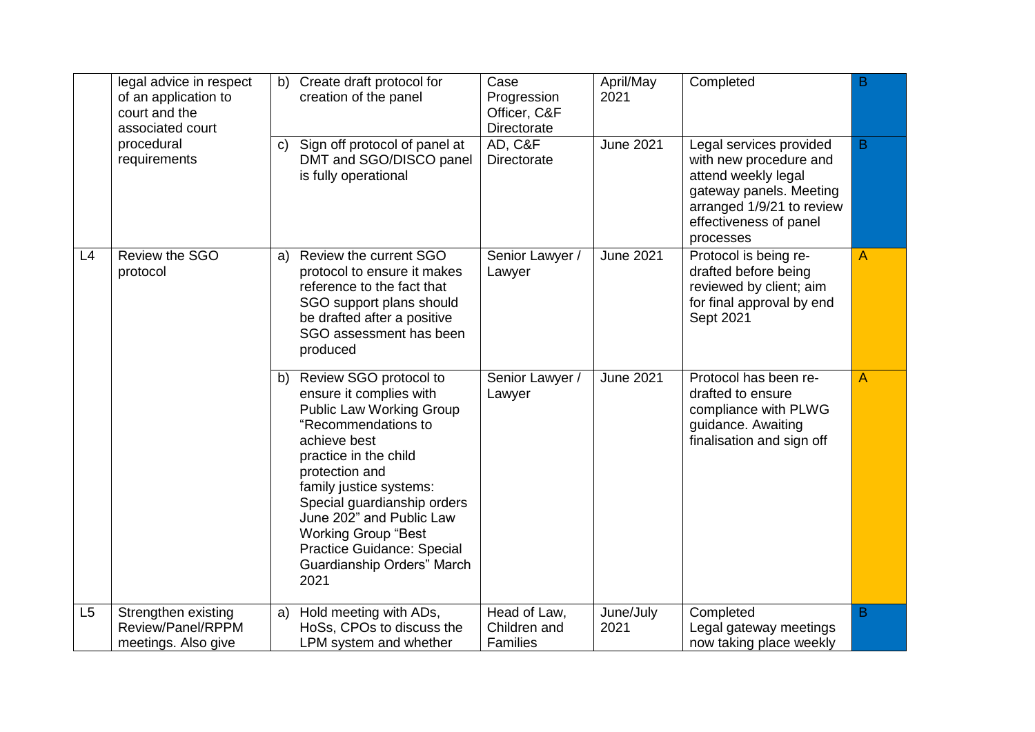|                | legal advice in respect<br>of an application to<br>court and the<br>associated court<br>procedural | b)<br>C) | Create draft protocol for<br>creation of the panel<br>Sign off protocol of panel at                                                                                                                                                                                                                                                                                   | Case<br>Progression<br>Officer, C&F<br>Directorate<br>AD, C&F | April/May<br>2021<br><b>June 2021</b> | Completed<br>Legal services provided                                                                                                         | B<br>B |
|----------------|----------------------------------------------------------------------------------------------------|----------|-----------------------------------------------------------------------------------------------------------------------------------------------------------------------------------------------------------------------------------------------------------------------------------------------------------------------------------------------------------------------|---------------------------------------------------------------|---------------------------------------|----------------------------------------------------------------------------------------------------------------------------------------------|--------|
|                | requirements                                                                                       |          | DMT and SGO/DISCO panel<br>is fully operational                                                                                                                                                                                                                                                                                                                       | Directorate                                                   |                                       | with new procedure and<br>attend weekly legal<br>gateway panels. Meeting<br>arranged 1/9/21 to review<br>effectiveness of panel<br>processes |        |
| L4             | Review the SGO<br>protocol                                                                         | a)       | Review the current SGO<br>protocol to ensure it makes<br>reference to the fact that<br>SGO support plans should<br>be drafted after a positive<br>SGO assessment has been<br>produced                                                                                                                                                                                 | Senior Lawyer /<br>Lawyer                                     | <b>June 2021</b>                      | Protocol is being re-<br>drafted before being<br>reviewed by client; aim<br>for final approval by end<br>Sept 2021                           | A      |
|                |                                                                                                    | b)       | Review SGO protocol to<br>ensure it complies with<br><b>Public Law Working Group</b><br>"Recommendations to<br>achieve best<br>practice in the child<br>protection and<br>family justice systems:<br>Special guardianship orders<br>June 202" and Public Law<br><b>Working Group "Best</b><br><b>Practice Guidance: Special</b><br>Guardianship Orders" March<br>2021 | Senior Lawyer /<br>Lawyer                                     | <b>June 2021</b>                      | Protocol has been re-<br>drafted to ensure<br>compliance with PLWG<br>guidance. Awaiting<br>finalisation and sign off                        | A      |
| L <sub>5</sub> | Strengthen existing<br>Review/Panel/RPPM<br>meetings. Also give                                    | a)       | Hold meeting with ADs,<br>HoSs, CPOs to discuss the<br>LPM system and whether                                                                                                                                                                                                                                                                                         | Head of Law,<br>Children and<br><b>Families</b>               | June/July<br>2021                     | Completed<br>Legal gateway meetings<br>now taking place weekly                                                                               | B      |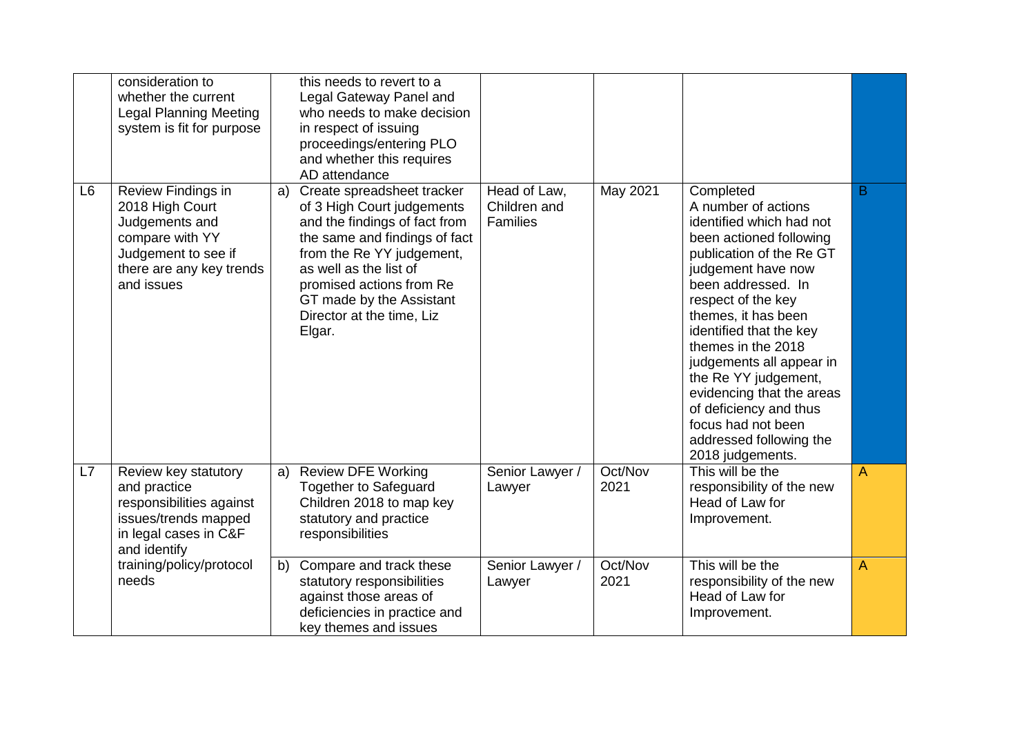|                | consideration to<br>whether the current<br><b>Legal Planning Meeting</b><br>system is fit for purpose                                       | this needs to revert to a<br>Legal Gateway Panel and<br>who needs to make decision<br>in respect of issuing<br>proceedings/entering PLO<br>and whether this requires<br>AD attendance                                                                                                  |                                          |                 |                                                                                                                                                                                                                                                                                                                                                                                                                                               |                |
|----------------|---------------------------------------------------------------------------------------------------------------------------------------------|----------------------------------------------------------------------------------------------------------------------------------------------------------------------------------------------------------------------------------------------------------------------------------------|------------------------------------------|-----------------|-----------------------------------------------------------------------------------------------------------------------------------------------------------------------------------------------------------------------------------------------------------------------------------------------------------------------------------------------------------------------------------------------------------------------------------------------|----------------|
| L <sub>6</sub> | Review Findings in<br>2018 High Court<br>Judgements and<br>compare with YY<br>Judgement to see if<br>there are any key trends<br>and issues | Create spreadsheet tracker<br>a)<br>of 3 High Court judgements<br>and the findings of fact from<br>the same and findings of fact<br>from the Re YY judgement,<br>as well as the list of<br>promised actions from Re<br>GT made by the Assistant<br>Director at the time, Liz<br>Elgar. | Head of Law,<br>Children and<br>Families | May 2021        | Completed<br>A number of actions<br>identified which had not<br>been actioned following<br>publication of the Re GT<br>judgement have now<br>been addressed. In<br>respect of the key<br>themes, it has been<br>identified that the key<br>themes in the 2018<br>judgements all appear in<br>the Re YY judgement,<br>evidencing that the areas<br>of deficiency and thus<br>focus had not been<br>addressed following the<br>2018 judgements. | B              |
| L7             | Review key statutory<br>and practice<br>responsibilities against<br>issues/trends mapped<br>in legal cases in C&F<br>and identify           | <b>Review DFE Working</b><br>a)<br><b>Together to Safeguard</b><br>Children 2018 to map key<br>statutory and practice<br>responsibilities                                                                                                                                              | Senior Lawyer /<br>Lawyer                | Oct/Nov<br>2021 | This will be the<br>responsibility of the new<br>Head of Law for<br>Improvement.                                                                                                                                                                                                                                                                                                                                                              | $\overline{A}$ |
|                | training/policy/protocol<br>needs                                                                                                           | Compare and track these<br>b)<br>statutory responsibilities<br>against those areas of<br>deficiencies in practice and<br>key themes and issues                                                                                                                                         | Senior Lawyer /<br>Lawyer                | Oct/Nov<br>2021 | This will be the<br>responsibility of the new<br>Head of Law for<br>Improvement.                                                                                                                                                                                                                                                                                                                                                              | $\overline{A}$ |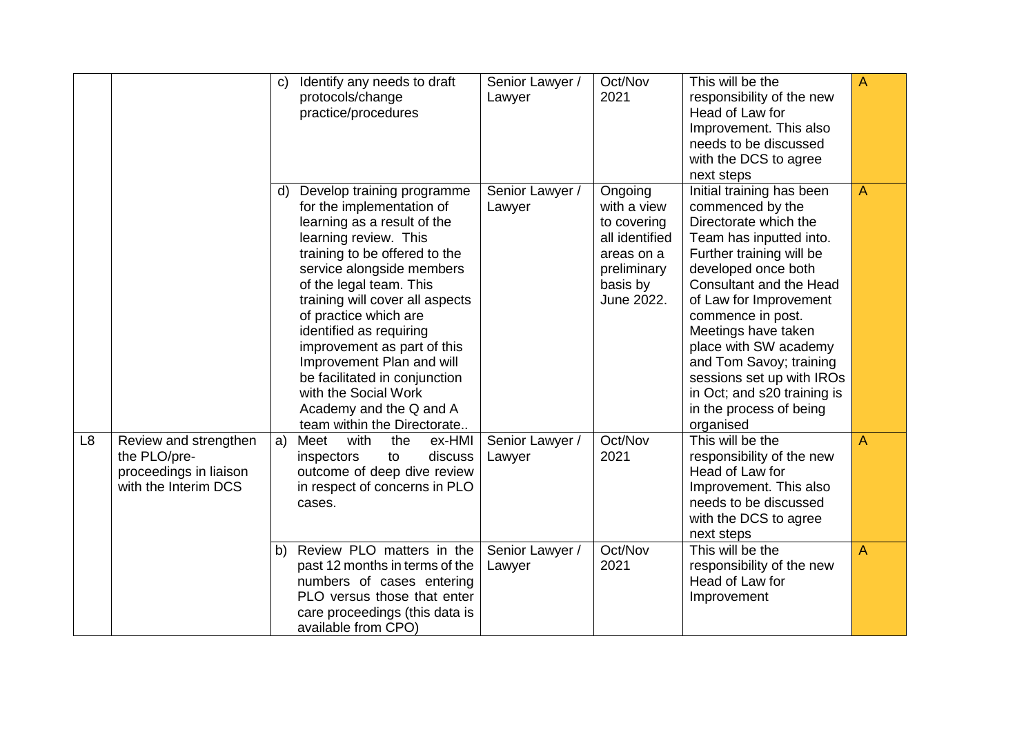|                |                                                                                         | $\mathsf{C}$ | Identify any needs to draft<br>protocols/change<br>practice/procedures                                                                                                                                                                                                                                                                                                                                                                                                         | Senior Lawyer /<br>Lawyer                    | Oct/Nov<br>2021                                                                                                | This will be the<br>responsibility of the new<br>Head of Law for<br>Improvement. This also<br>needs to be discussed<br>with the DCS to agree<br>next steps                                                                                                                                                                                                                                                           | A      |
|----------------|-----------------------------------------------------------------------------------------|--------------|--------------------------------------------------------------------------------------------------------------------------------------------------------------------------------------------------------------------------------------------------------------------------------------------------------------------------------------------------------------------------------------------------------------------------------------------------------------------------------|----------------------------------------------|----------------------------------------------------------------------------------------------------------------|----------------------------------------------------------------------------------------------------------------------------------------------------------------------------------------------------------------------------------------------------------------------------------------------------------------------------------------------------------------------------------------------------------------------|--------|
|                |                                                                                         | d)           | Develop training programme<br>for the implementation of<br>learning as a result of the<br>learning review. This<br>training to be offered to the<br>service alongside members<br>of the legal team. This<br>training will cover all aspects<br>of practice which are<br>identified as requiring<br>improvement as part of this<br>Improvement Plan and will<br>be facilitated in conjunction<br>with the Social Work<br>Academy and the Q and A<br>team within the Directorate | Senior Lawyer /<br>Lawyer                    | Ongoing<br>with a view<br>to covering<br>all identified<br>areas on a<br>preliminary<br>basis by<br>June 2022. | Initial training has been<br>commenced by the<br>Directorate which the<br>Team has inputted into.<br>Further training will be<br>developed once both<br><b>Consultant and the Head</b><br>of Law for Improvement<br>commence in post.<br>Meetings have taken<br>place with SW academy<br>and Tom Savoy; training<br>sessions set up with IROs<br>in Oct; and s20 training is<br>in the process of being<br>organised | A      |
| L <sub>8</sub> | Review and strengthen<br>the PLO/pre-<br>proceedings in liaison<br>with the Interim DCS | a)<br>b)     | ex-HMI<br>Meet<br>with<br>the<br>discuss<br>inspectors<br>to<br>outcome of deep dive review<br>in respect of concerns in PLO<br>cases.<br>Review PLO matters in the                                                                                                                                                                                                                                                                                                            | Senior Lawyer /<br>Lawyer<br>Senior Lawyer / | Oct/Nov<br>2021<br>Oct/Nov                                                                                     | This will be the<br>responsibility of the new<br>Head of Law for<br>Improvement. This also<br>needs to be discussed<br>with the DCS to agree<br>next steps<br>This will be the                                                                                                                                                                                                                                       | A<br>A |
|                |                                                                                         |              | past 12 months in terms of the<br>numbers of cases entering<br>PLO versus those that enter<br>care proceedings (this data is<br>available from CPO)                                                                                                                                                                                                                                                                                                                            | Lawyer                                       | 2021                                                                                                           | responsibility of the new<br>Head of Law for<br>Improvement                                                                                                                                                                                                                                                                                                                                                          |        |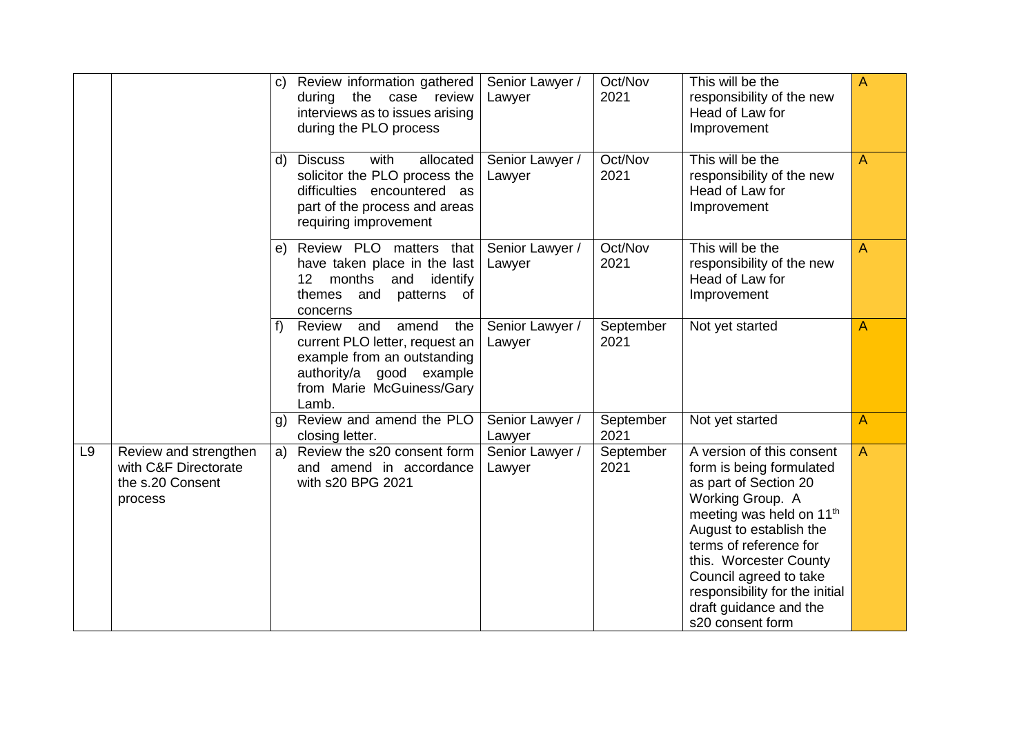|                |                                                                              | $\mathsf{C}$   | Review information gathered<br>during the case review<br>interviews as to issues arising<br>during the PLO process                                               | Senior Lawyer /<br>Lawyer | Oct/Nov<br>2021   | This will be the<br>responsibility of the new<br>Head of Law for<br>Improvement                                                                                                                                                                                                                                                     | A |
|----------------|------------------------------------------------------------------------------|----------------|------------------------------------------------------------------------------------------------------------------------------------------------------------------|---------------------------|-------------------|-------------------------------------------------------------------------------------------------------------------------------------------------------------------------------------------------------------------------------------------------------------------------------------------------------------------------------------|---|
|                |                                                                              | d)             | with<br>allocated<br><b>Discuss</b><br>solicitor the PLO process the<br>difficulties encountered as<br>part of the process and areas<br>requiring improvement    | Senior Lawyer /<br>Lawyer | Oct/Nov<br>2021   | This will be the<br>responsibility of the new<br>Head of Law for<br>Improvement                                                                                                                                                                                                                                                     | A |
|                |                                                                              | e)             | Review PLO matters that<br>have taken place in the last<br>months<br>and<br>identify<br>12 <sup>2</sup><br>patterns<br>themes<br>and<br>of<br>concerns           | Senior Lawyer /<br>Lawyer | Oct/Nov<br>2021   | This will be the<br>responsibility of the new<br>Head of Law for<br>Improvement                                                                                                                                                                                                                                                     | A |
|                |                                                                              | f)             | Review<br>and<br>amend<br>the<br>current PLO letter, request an<br>example from an outstanding<br>authority/a good example<br>from Marie McGuiness/Gary<br>Lamb. | Senior Lawyer /<br>Lawyer | September<br>2021 | Not yet started                                                                                                                                                                                                                                                                                                                     | A |
|                |                                                                              | $\mathfrak{g}$ | Review and amend the PLO<br>closing letter.                                                                                                                      | Senior Lawyer /<br>Lawyer | September<br>2021 | Not yet started                                                                                                                                                                                                                                                                                                                     | A |
| L <sub>9</sub> | Review and strengthen<br>with C&F Directorate<br>the s.20 Consent<br>process |                | a) Review the s20 consent form<br>and amend in accordance<br>with s20 BPG 2021                                                                                   | Senior Lawyer /<br>Lawyer | September<br>2021 | A version of this consent<br>form is being formulated<br>as part of Section 20<br>Working Group. A<br>meeting was held on 11 <sup>th</sup><br>August to establish the<br>terms of reference for<br>this. Worcester County<br>Council agreed to take<br>responsibility for the initial<br>draft guidance and the<br>s20 consent form | A |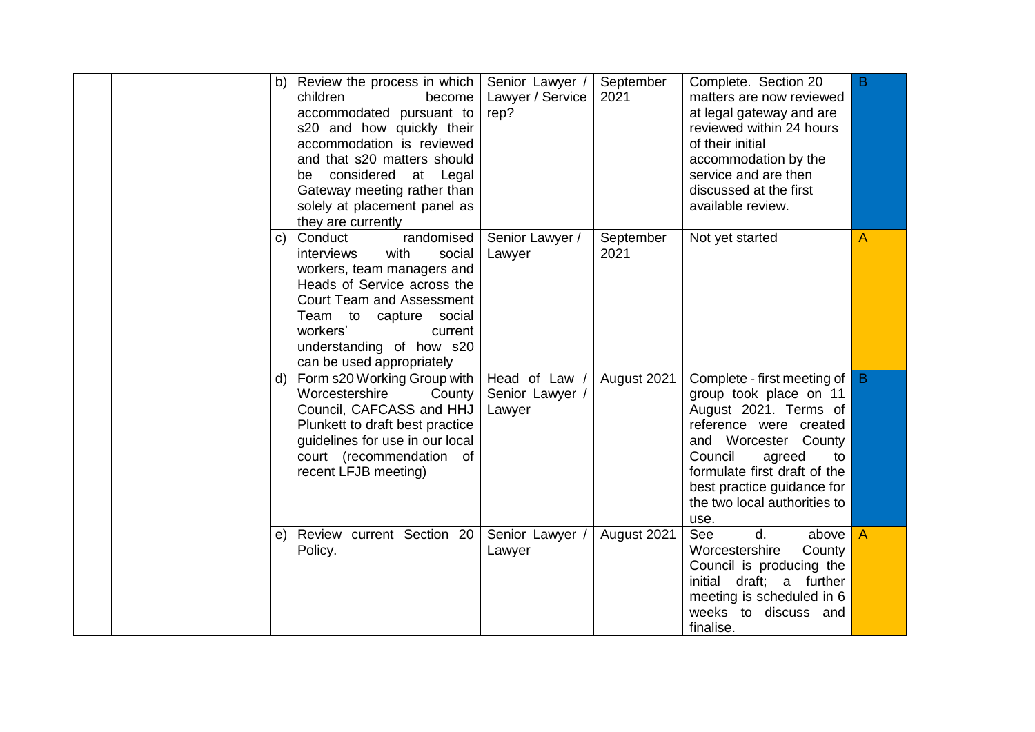| b) | Review the process in which<br>children<br>become<br>accommodated pursuant to<br>s20 and how quickly their<br>accommodation is reviewed<br>and that s20 matters should<br>considered at Legal<br>be<br>Gateway meeting rather than<br>solely at placement panel as<br>they are currently | Senior Lawyer /<br>Lawyer / Service<br>rep? | September<br>2021 | Complete. Section 20<br>matters are now reviewed<br>at legal gateway and are<br>reviewed within 24 hours<br>of their initial<br>accommodation by the<br>service and are then<br>discussed at the first<br>available review.                                       | B.             |
|----|------------------------------------------------------------------------------------------------------------------------------------------------------------------------------------------------------------------------------------------------------------------------------------------|---------------------------------------------|-------------------|-------------------------------------------------------------------------------------------------------------------------------------------------------------------------------------------------------------------------------------------------------------------|----------------|
| C) | randomised<br>Conduct<br>interviews<br>with<br>social<br>workers, team managers and<br>Heads of Service across the<br><b>Court Team and Assessment</b><br>Team to capture<br>social<br>workers'<br>current<br>understanding of how s20<br>can be used appropriately                      | Senior Lawyer /<br>Lawyer                   | September<br>2021 | Not yet started                                                                                                                                                                                                                                                   | А              |
| d) | Form s20 Working Group with<br>Worcestershire<br>County<br>Council, CAFCASS and HHJ<br>Plunkett to draft best practice<br>guidelines for use in our local<br>court (recommendation of<br>recent LFJB meeting)                                                                            | Head of Law<br>Senior Lawyer /<br>Lawyer    | August 2021       | Complete - first meeting of<br>group took place on 11<br>August 2021. Terms of<br>reference were created<br>and Worcester County<br>Council<br>agreed<br>to<br>formulate first draft of the<br>best practice guidance for<br>the two local authorities to<br>use. | $\mathsf B$    |
|    | e) Review current Section 20<br>Policy.                                                                                                                                                                                                                                                  | Senior Lawyer<br>Lawyer                     | August 2021       | See<br>d.<br>above<br>County<br>Worcestershire<br>Council is producing the<br>draft; a further<br>initial<br>meeting is scheduled in 6<br>weeks to discuss and<br>finalise.                                                                                       | $\overline{A}$ |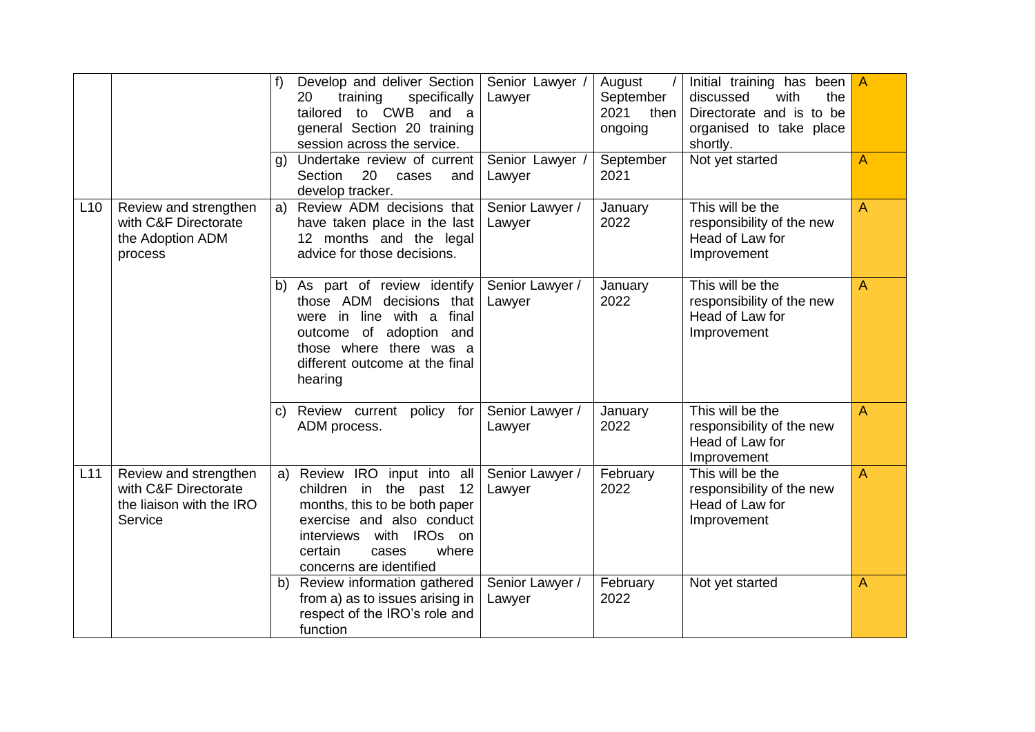|     |                                                                                      | f              | Develop and deliver Section<br>specifically<br>20<br>training<br>to CWB<br>tailored<br>and a<br>general Section 20 training<br>session across the service.                                                  | Senior Lawyer<br>Lawyer   | August<br>September<br>2021<br>then<br>ongoing | Initial training has been<br>discussed<br>with<br>the<br>Directorate and is to be<br>organised to take place<br>shortly. | A |
|-----|--------------------------------------------------------------------------------------|----------------|-------------------------------------------------------------------------------------------------------------------------------------------------------------------------------------------------------------|---------------------------|------------------------------------------------|--------------------------------------------------------------------------------------------------------------------------|---|
|     |                                                                                      | $\mathfrak{g}$ | Undertake review of current<br>20<br>Section<br>cases<br>and<br>develop tracker.                                                                                                                            | Senior Lawyer<br>Lawyer   | September<br>2021                              | Not yet started                                                                                                          | A |
| L10 | Review and strengthen<br>with C&F Directorate<br>the Adoption ADM<br>process         | a)             | Review ADM decisions that<br>have taken place in the last<br>12 months and the legal<br>advice for those decisions.                                                                                         | Senior Lawyer /<br>Lawyer | January<br>2022                                | This will be the<br>responsibility of the new<br>Head of Law for<br>Improvement                                          | A |
|     |                                                                                      | b)             | As part of review identify<br>those ADM decisions<br>that<br>final<br>line with a<br>were in<br>of<br>adoption and<br>outcome<br>those where there was a<br>different outcome at the final<br>hearing       | Senior Lawyer /<br>Lawyer | January<br>2022                                | This will be the<br>responsibility of the new<br>Head of Law for<br>Improvement                                          | A |
|     |                                                                                      | C)             | Review current policy for<br>ADM process.                                                                                                                                                                   | Senior Lawyer /<br>Lawyer | January<br>2022                                | This will be the<br>responsibility of the new<br>Head of Law for<br>Improvement                                          | A |
| L11 | Review and strengthen<br>with C&F Directorate<br>the liaison with the IRO<br>Service | a)             | Review IRO input into all<br>children in the past<br>12<br>months, this to be both paper<br>exercise and also conduct<br>with IROs on<br>interviews<br>where<br>certain<br>cases<br>concerns are identified | Senior Lawyer /<br>Lawyer | February<br>2022                               | This will be the<br>responsibility of the new<br>Head of Law for<br>Improvement                                          | A |
|     |                                                                                      | b)             | Review information gathered<br>from a) as to issues arising in<br>respect of the IRO's role and<br>function                                                                                                 | Senior Lawyer /<br>Lawyer | February<br>2022                               | Not yet started                                                                                                          | Α |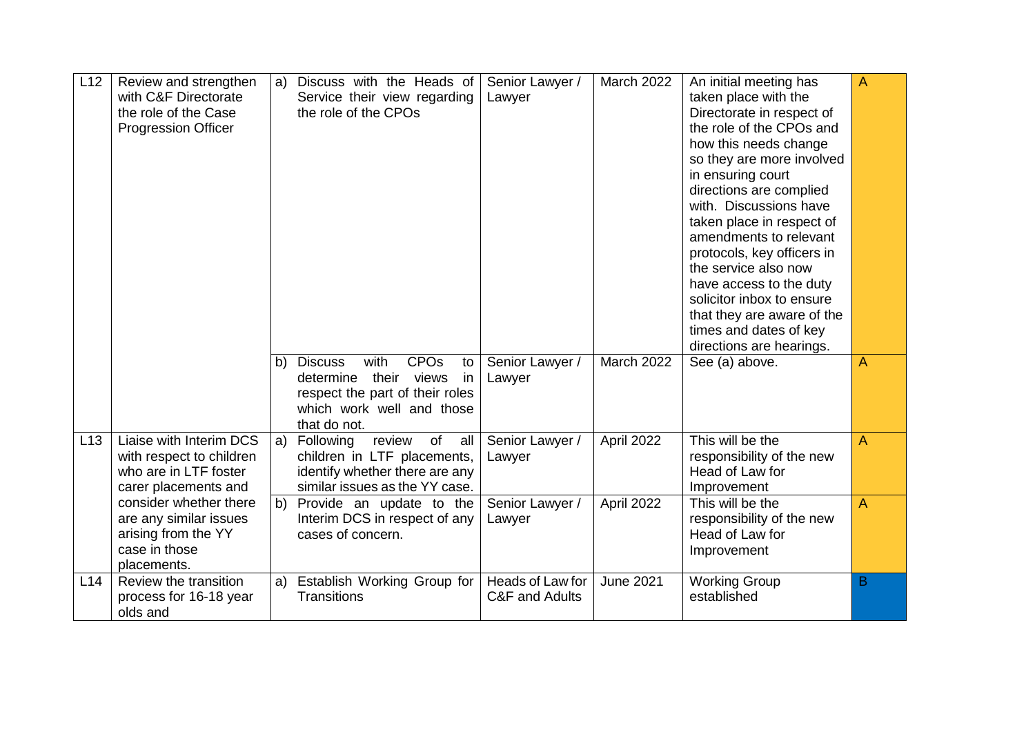| L12 | Review and strengthen<br>with C&F Directorate<br>the role of the Case<br><b>Progression Officer</b>     | a) | Discuss with the Heads of<br>Service their view regarding<br>the role of the CPOs                                                                                    | Senior Lawyer /<br>Lawyer          | March 2022       | An initial meeting has<br>taken place with the<br>Directorate in respect of<br>the role of the CPOs and<br>how this needs change<br>so they are more involved<br>in ensuring court<br>directions are complied<br>with. Discussions have<br>taken place in respect of<br>amendments to relevant<br>protocols, key officers in<br>the service also now<br>have access to the duty<br>solicitor inbox to ensure<br>that they are aware of the<br>times and dates of key<br>directions are hearings. | $\overline{A}$ |
|-----|---------------------------------------------------------------------------------------------------------|----|----------------------------------------------------------------------------------------------------------------------------------------------------------------------|------------------------------------|------------------|--------------------------------------------------------------------------------------------------------------------------------------------------------------------------------------------------------------------------------------------------------------------------------------------------------------------------------------------------------------------------------------------------------------------------------------------------------------------------------------------------|----------------|
|     |                                                                                                         |    | with<br><b>CPO<sub>s</sub></b><br>b) Discuss<br>to<br>their views<br>determine<br>in<br>respect the part of their roles<br>which work well and those<br>that do not. | Senior Lawyer /<br>Lawyer          | March 2022       | See (a) above.                                                                                                                                                                                                                                                                                                                                                                                                                                                                                   | A              |
| L13 | Liaise with Interim DCS<br>with respect to children<br>who are in LTF foster<br>carer placements and    | a) | review<br>Following<br>of<br>all<br>children in LTF placements,<br>identify whether there are any<br>similar issues as the YY case.                                  | Senior Lawyer /<br>Lawyer          | April 2022       | This will be the<br>responsibility of the new<br>Head of Law for<br>Improvement                                                                                                                                                                                                                                                                                                                                                                                                                  | A              |
|     | consider whether there<br>are any similar issues<br>arising from the YY<br>case in those<br>placements. | b) | Provide an update to the<br>Interim DCS in respect of any<br>cases of concern.                                                                                       | Senior Lawyer /<br>Lawyer          | April 2022       | This will be the<br>responsibility of the new<br>Head of Law for<br>Improvement                                                                                                                                                                                                                                                                                                                                                                                                                  | $\overline{A}$ |
| L14 | Review the transition<br>process for 16-18 year<br>olds and                                             | a) | Establish Working Group for<br><b>Transitions</b>                                                                                                                    | Heads of Law for<br>C&F and Adults | <b>June 2021</b> | <b>Working Group</b><br>established                                                                                                                                                                                                                                                                                                                                                                                                                                                              | B              |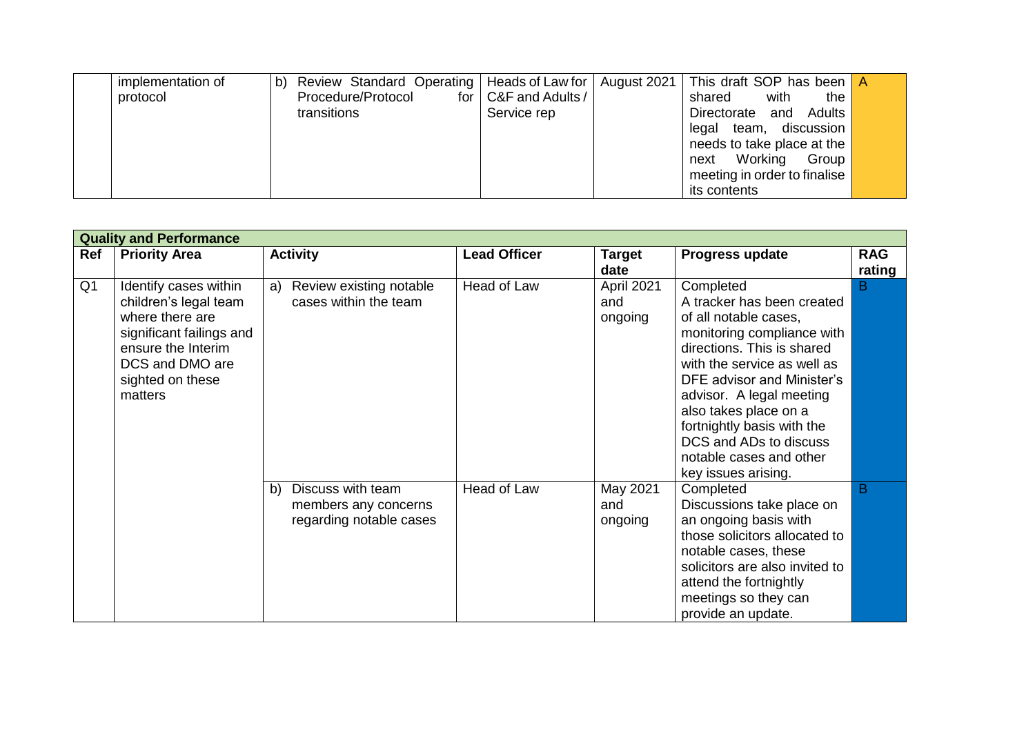| implementation of | $\mathsf{b}$ | Review Standard Operating   Heads of Law for   August 2021 |                        | This draft SOP has been A    |  |
|-------------------|--------------|------------------------------------------------------------|------------------------|------------------------------|--|
| protocol          |              | Procedure/Protocol                                         | for   C&F and Adults / | with<br>shared<br>the        |  |
|                   |              | transitions                                                | Service rep            | Directorate and Adults       |  |
|                   |              |                                                            |                        | legal team, discussion       |  |
|                   |              |                                                            |                        | needs to take place at the   |  |
|                   |              |                                                            |                        | next Working<br>Group        |  |
|                   |              |                                                            |                        | meeting in order to finalise |  |
|                   |              |                                                            |                        | its contents                 |  |

|                | <b>Quality and Performance</b>                                                                                                                                        |                                                                            |                     |                              |                                                                                                                                                                                                                                                                                                                                                          |            |
|----------------|-----------------------------------------------------------------------------------------------------------------------------------------------------------------------|----------------------------------------------------------------------------|---------------------|------------------------------|----------------------------------------------------------------------------------------------------------------------------------------------------------------------------------------------------------------------------------------------------------------------------------------------------------------------------------------------------------|------------|
| Ref            | <b>Priority Area</b>                                                                                                                                                  | <b>Activity</b>                                                            | <b>Lead Officer</b> | <b>Target</b>                | Progress update                                                                                                                                                                                                                                                                                                                                          | <b>RAG</b> |
|                |                                                                                                                                                                       |                                                                            |                     | date                         |                                                                                                                                                                                                                                                                                                                                                          | rating     |
| Q <sub>1</sub> | Identify cases within<br>children's legal team<br>where there are<br>significant failings and<br>ensure the Interim<br>DCS and DMO are<br>sighted on these<br>matters | Review existing notable<br>a)<br>cases within the team                     | Head of Law         | April 2021<br>and<br>ongoing | Completed<br>A tracker has been created<br>of all notable cases,<br>monitoring compliance with<br>directions. This is shared<br>with the service as well as<br>DFE advisor and Minister's<br>advisor. A legal meeting<br>also takes place on a<br>fortnightly basis with the<br>DCS and ADs to discuss<br>notable cases and other<br>key issues arising. | B          |
|                |                                                                                                                                                                       | Discuss with team<br>b)<br>members any concerns<br>regarding notable cases | Head of Law         | May 2021<br>and<br>ongoing   | Completed<br>Discussions take place on<br>an ongoing basis with<br>those solicitors allocated to<br>notable cases, these<br>solicitors are also invited to<br>attend the fortnightly<br>meetings so they can<br>provide an update.                                                                                                                       | B          |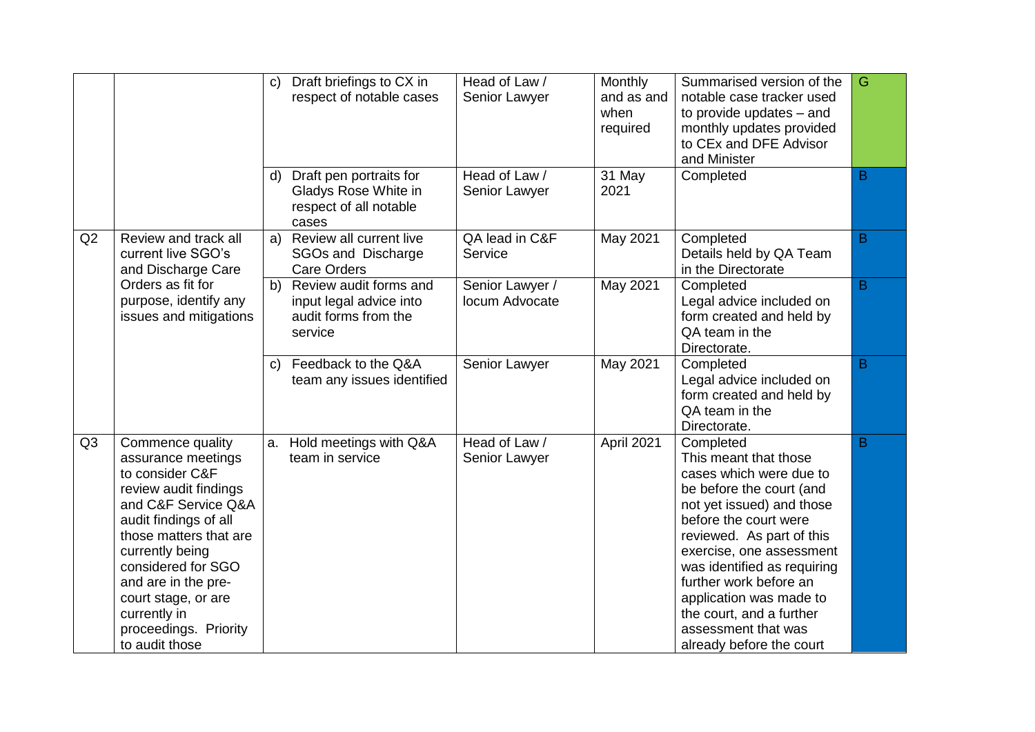|                |                                                                                                                                                                                                                                                                                                                | C)<br>d) | Draft briefings to CX in<br>respect of notable cases<br>Draft pen portraits for      | Head of Law /<br>Senior Lawyer<br>Head of Law / | Monthly<br>and as and<br>when<br>required<br>31 May | Summarised version of the<br>notable case tracker used<br>to provide updates - and<br>monthly updates provided<br>to CEx and DFE Advisor<br>and Minister<br>Completed                                                                                                                                                                                                       | G<br>B |
|----------------|----------------------------------------------------------------------------------------------------------------------------------------------------------------------------------------------------------------------------------------------------------------------------------------------------------------|----------|--------------------------------------------------------------------------------------|-------------------------------------------------|-----------------------------------------------------|-----------------------------------------------------------------------------------------------------------------------------------------------------------------------------------------------------------------------------------------------------------------------------------------------------------------------------------------------------------------------------|--------|
|                |                                                                                                                                                                                                                                                                                                                |          | Gladys Rose White in<br>respect of all notable<br>cases                              | Senior Lawyer                                   | 2021                                                |                                                                                                                                                                                                                                                                                                                                                                             |        |
| Q2             | Review and track all<br>current live SGO's<br>and Discharge Care                                                                                                                                                                                                                                               | a)       | Review all current live<br>SGOs and Discharge<br><b>Care Orders</b>                  | QA lead in C&F<br>Service                       | May 2021                                            | Completed<br>Details held by QA Team<br>in the Directorate                                                                                                                                                                                                                                                                                                                  | B      |
|                | Orders as fit for<br>purpose, identify any<br>issues and mitigations                                                                                                                                                                                                                                           | b)       | Review audit forms and<br>input legal advice into<br>audit forms from the<br>service | Senior Lawyer /<br>locum Advocate               | May 2021                                            | Completed<br>Legal advice included on<br>form created and held by<br>QA team in the<br>Directorate.                                                                                                                                                                                                                                                                         | B      |
|                |                                                                                                                                                                                                                                                                                                                | C)       | Feedback to the Q&A<br>team any issues identified                                    | Senior Lawyer                                   | May 2021                                            | Completed<br>Legal advice included on<br>form created and held by<br>QA team in the<br>Directorate.                                                                                                                                                                                                                                                                         | B      |
| Q <sub>3</sub> | Commence quality<br>assurance meetings<br>to consider C&F<br>review audit findings<br>and C&F Service Q&A<br>audit findings of all<br>those matters that are<br>currently being<br>considered for SGO<br>and are in the pre-<br>court stage, or are<br>currently in<br>proceedings. Priority<br>to audit those | a.       | Hold meetings with Q&A<br>team in service                                            | Head of Law /<br>Senior Lawyer                  | April 2021                                          | Completed<br>This meant that those<br>cases which were due to<br>be before the court (and<br>not yet issued) and those<br>before the court were<br>reviewed. As part of this<br>exercise, one assessment<br>was identified as requiring<br>further work before an<br>application was made to<br>the court, and a further<br>assessment that was<br>already before the court | B      |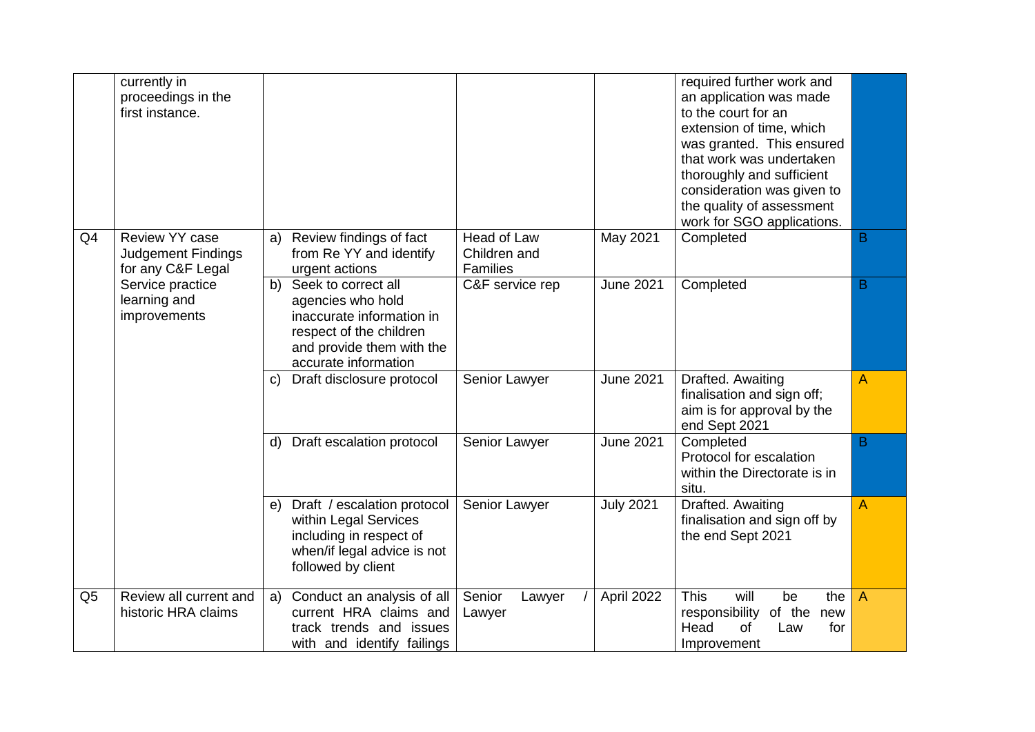|                | currently in<br>proceedings in the<br>first instance.            |                                                                                                                                                             |                                                |                  | required further work and<br>an application was made<br>to the court for an<br>extension of time, which<br>was granted. This ensured<br>that work was undertaken<br>thoroughly and sufficient<br>consideration was given to<br>the quality of assessment<br>work for SGO applications. |   |
|----------------|------------------------------------------------------------------|-------------------------------------------------------------------------------------------------------------------------------------------------------------|------------------------------------------------|------------------|----------------------------------------------------------------------------------------------------------------------------------------------------------------------------------------------------------------------------------------------------------------------------------------|---|
| Q <sub>4</sub> | Review YY case<br><b>Judgement Findings</b><br>for any C&F Legal | Review findings of fact<br>a)<br>from Re YY and identify<br>urgent actions                                                                                  | Head of Law<br>Children and<br><b>Families</b> | May 2021         | Completed                                                                                                                                                                                                                                                                              | B |
|                | Service practice<br>learning and<br>improvements                 | Seek to correct all<br>b)<br>agencies who hold<br>inaccurate information in<br>respect of the children<br>and provide them with the<br>accurate information | C&F service rep                                | <b>June 2021</b> | Completed                                                                                                                                                                                                                                                                              | B |
|                |                                                                  | Draft disclosure protocol<br>C)                                                                                                                             | Senior Lawyer                                  | <b>June 2021</b> | Drafted. Awaiting<br>finalisation and sign off;<br>aim is for approval by the<br>end Sept 2021                                                                                                                                                                                         | Α |
|                |                                                                  | Draft escalation protocol<br>d)                                                                                                                             | Senior Lawyer                                  | <b>June 2021</b> | Completed<br>Protocol for escalation<br>within the Directorate is in<br>situ.                                                                                                                                                                                                          | B |
|                |                                                                  | Draft / escalation protocol<br>e)<br>within Legal Services<br>including in respect of<br>when/if legal advice is not<br>followed by client                  | Senior Lawyer                                  | <b>July 2021</b> | Drafted. Awaiting<br>finalisation and sign off by<br>the end Sept 2021                                                                                                                                                                                                                 | A |
| Q <sub>5</sub> | Review all current and<br>historic HRA claims                    | Conduct an analysis of all<br>a)<br>current HRA claims and<br>track trends and issues<br>with and identify failings                                         | Senior<br>Lawyer<br>Lawyer                     | April 2022       | <b>This</b><br>will<br>the<br>be<br>responsibility of the<br>new<br>Head<br>of<br>Law<br>for<br>Improvement                                                                                                                                                                            | A |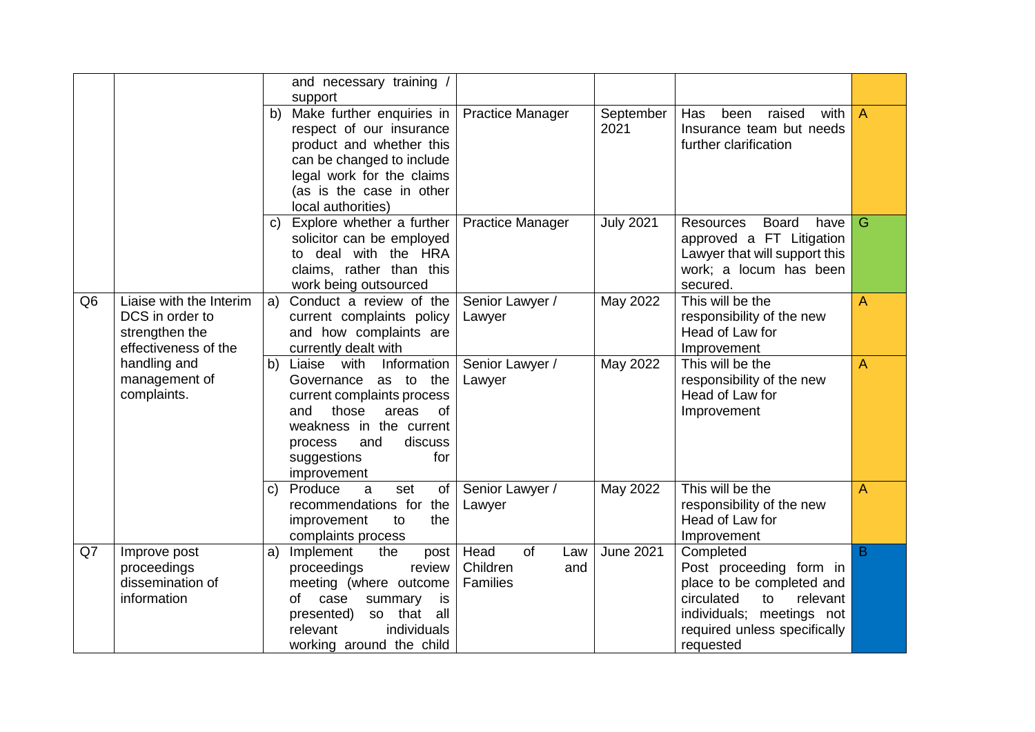|                |                                                                                      |              | and necessary training /<br>support                                                                                                                                                                                 |                                                         |                   |                                                                                                                                                                             |                |
|----------------|--------------------------------------------------------------------------------------|--------------|---------------------------------------------------------------------------------------------------------------------------------------------------------------------------------------------------------------------|---------------------------------------------------------|-------------------|-----------------------------------------------------------------------------------------------------------------------------------------------------------------------------|----------------|
|                |                                                                                      | b)           | Make further enquiries in<br>respect of our insurance<br>product and whether this<br>can be changed to include<br>legal work for the claims<br>(as is the case in other<br>local authorities)                       | <b>Practice Manager</b>                                 | September<br>2021 | raised<br>Has<br>been<br>with  <br>Insurance team but needs<br>further clarification                                                                                        | $\overline{A}$ |
|                |                                                                                      | $\mathbf{C}$ | Explore whether a further<br>solicitor can be employed<br>to deal with the HRA<br>claims, rather than this<br>work being outsourced                                                                                 | <b>Practice Manager</b>                                 | <b>July 2021</b>  | <b>Resources</b><br><b>Board</b><br>have<br>approved a FT Litigation<br>Lawyer that will support this<br>work; a locum has been<br>secured.                                 | G.             |
| Q <sub>6</sub> | Liaise with the Interim<br>DCS in order to<br>strengthen the<br>effectiveness of the | a)           | Conduct a review of the<br>current complaints policy<br>and how complaints are<br>currently dealt with                                                                                                              | Senior Lawyer /<br>Lawyer                               | May 2022          | This will be the<br>responsibility of the new<br>Head of Law for<br>Improvement                                                                                             | $\overline{A}$ |
|                | handling and<br>management of<br>complaints.                                         | b)           | Liaise with<br>Information<br>Governance as to the<br>current complaints process<br>those<br>areas<br><b>of</b><br>and<br>weakness in the current<br>and<br>discuss<br>process<br>for<br>suggestions<br>improvement | Senior Lawyer /<br>Lawyer                               | May 2022          | This will be the<br>responsibility of the new<br>Head of Law for<br>Improvement                                                                                             | $\overline{A}$ |
|                |                                                                                      | C)           | Produce<br>of<br>a<br>set<br>recommendations for the<br>improvement<br>to<br>the<br>complaints process                                                                                                              | Senior Lawyer /<br>Lawyer                               | May 2022          | This will be the<br>responsibility of the new<br>Head of Law for<br>Improvement                                                                                             | $\overline{A}$ |
| Q7             | Improve post<br>proceedings<br>dissemination of<br>information                       | a)           | Implement<br>the<br>post<br>proceedings<br>review<br>meeting (where outcome<br>of<br>case<br>summary<br>is<br>so that<br>presented)<br>all<br>relevant<br>individuals<br>working around the child                   | Head<br>of<br>Law<br>Children<br>and<br><b>Families</b> | <b>June 2021</b>  | Completed<br>Post proceeding form in<br>place to be completed and<br>relevant<br>circulated<br>to<br>individuals; meetings not<br>required unless specifically<br>requested | B.             |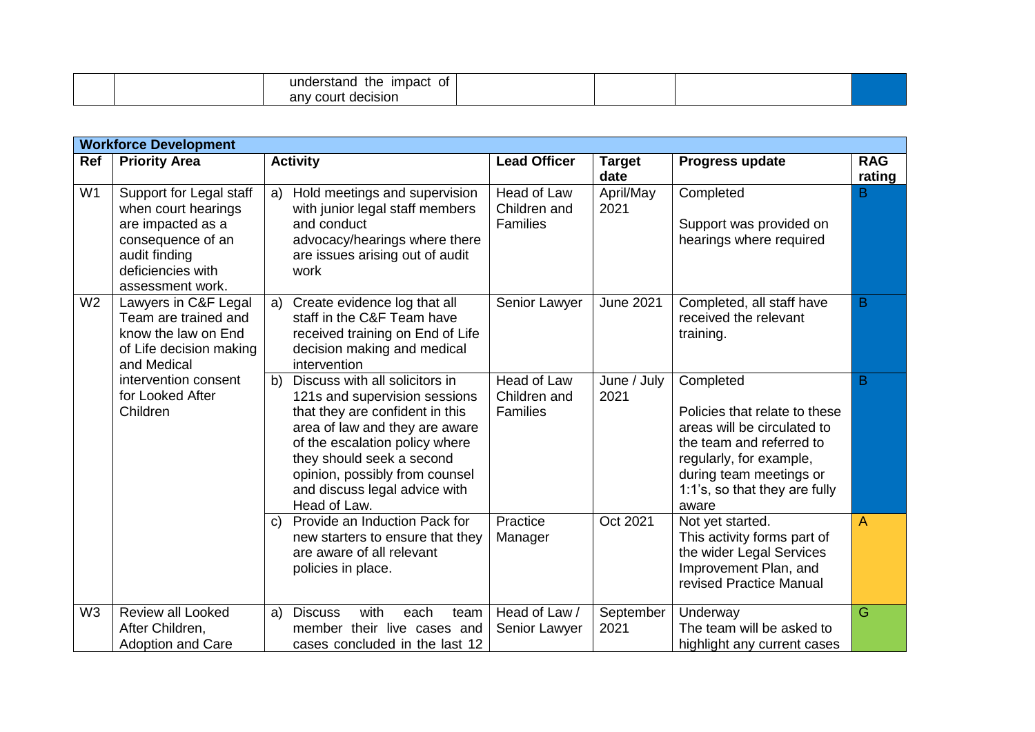|  | understand<br>impact<br>the<br>0t |  |  |
|--|-----------------------------------|--|--|
|  | decision<br>anv<br>coun           |  |  |

| <b>Workforce Development</b> |                                                                                                                                                    |                                                                                                                                                                                                                                                                                              |                                                |                       |                                                                                                                                                                                                       |                      |  |  |
|------------------------------|----------------------------------------------------------------------------------------------------------------------------------------------------|----------------------------------------------------------------------------------------------------------------------------------------------------------------------------------------------------------------------------------------------------------------------------------------------|------------------------------------------------|-----------------------|-------------------------------------------------------------------------------------------------------------------------------------------------------------------------------------------------------|----------------------|--|--|
| Ref                          | <b>Priority Area</b>                                                                                                                               | <b>Activity</b>                                                                                                                                                                                                                                                                              | <b>Lead Officer</b>                            | <b>Target</b><br>date | Progress update                                                                                                                                                                                       | <b>RAG</b><br>rating |  |  |
| W <sub>1</sub>               | Support for Legal staff<br>when court hearings<br>are impacted as a<br>consequence of an<br>audit finding<br>deficiencies with<br>assessment work. | Hold meetings and supervision<br>a)<br>with junior legal staff members<br>and conduct<br>advocacy/hearings where there<br>are issues arising out of audit<br>work                                                                                                                            | Head of Law<br>Children and<br><b>Families</b> | April/May<br>2021     | Completed<br>Support was provided on<br>hearings where required                                                                                                                                       | B                    |  |  |
| W <sub>2</sub>               | Lawyers in C&F Legal<br>Team are trained and<br>know the law on End<br>of Life decision making<br>and Medical                                      | Create evidence log that all<br>a)<br>staff in the C&F Team have<br>received training on End of Life<br>decision making and medical<br>intervention                                                                                                                                          | Senior Lawyer                                  | <b>June 2021</b>      | Completed, all staff have<br>received the relevant<br>training.                                                                                                                                       | B                    |  |  |
|                              | intervention consent<br>for Looked After<br>Children                                                                                               | Discuss with all solicitors in<br>b)<br>121s and supervision sessions<br>that they are confident in this<br>area of law and they are aware<br>of the escalation policy where<br>they should seek a second<br>opinion, possibly from counsel<br>and discuss legal advice with<br>Head of Law. | Head of Law<br>Children and<br><b>Families</b> | June / July<br>2021   | Completed<br>Policies that relate to these<br>areas will be circulated to<br>the team and referred to<br>regularly, for example,<br>during team meetings or<br>1:1's, so that they are fully<br>aware | В                    |  |  |
|                              |                                                                                                                                                    | Provide an Induction Pack for<br>C)<br>new starters to ensure that they<br>are aware of all relevant<br>policies in place.                                                                                                                                                                   | Practice<br>Manager                            | Oct 2021              | Not yet started.<br>This activity forms part of<br>the wider Legal Services<br>Improvement Plan, and<br>revised Practice Manual                                                                       | A                    |  |  |
| W <sub>3</sub>               | Review all Looked<br>After Children,<br><b>Adoption and Care</b>                                                                                   | with<br>a)<br><b>Discuss</b><br>each<br>team<br>member their live cases and<br>cases concluded in the last 12                                                                                                                                                                                | Head of Law /<br>Senior Lawyer                 | September<br>2021     | Underway<br>The team will be asked to<br>highlight any current cases                                                                                                                                  | G                    |  |  |